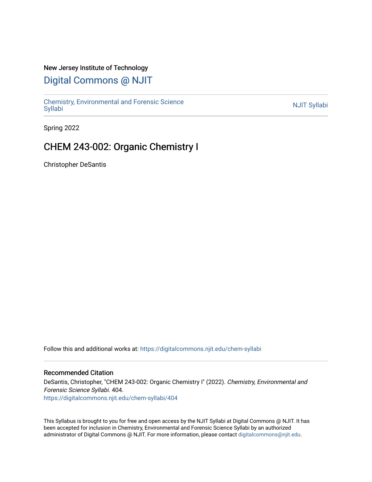### New Jersey Institute of Technology

# [Digital Commons @ NJIT](https://digitalcommons.njit.edu/)

Chemistry, Environmental and Forensic Science<br>Syllabi

Spring 2022

## CHEM 243-002: Organic Chemistry I

Christopher DeSantis

Follow this and additional works at: [https://digitalcommons.njit.edu/chem-syllabi](https://digitalcommons.njit.edu/chem-syllabi?utm_source=digitalcommons.njit.edu%2Fchem-syllabi%2F404&utm_medium=PDF&utm_campaign=PDFCoverPages) 

### Recommended Citation

DeSantis, Christopher, "CHEM 243-002: Organic Chemistry I" (2022). Chemistry, Environmental and Forensic Science Syllabi. 404. [https://digitalcommons.njit.edu/chem-syllabi/404](https://digitalcommons.njit.edu/chem-syllabi/404?utm_source=digitalcommons.njit.edu%2Fchem-syllabi%2F404&utm_medium=PDF&utm_campaign=PDFCoverPages) 

This Syllabus is brought to you for free and open access by the NJIT Syllabi at Digital Commons @ NJIT. It has been accepted for inclusion in Chemistry, Environmental and Forensic Science Syllabi by an authorized administrator of Digital Commons @ NJIT. For more information, please contact [digitalcommons@njit.edu.](mailto:digitalcommons@njit.edu)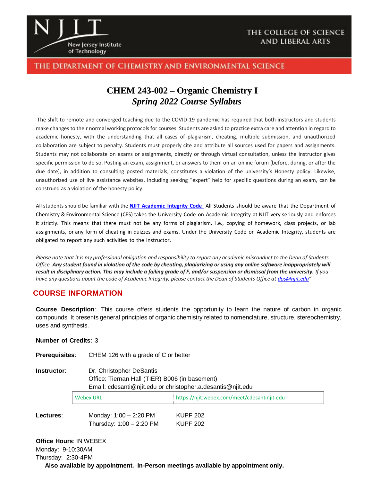

### The Department of Chemistry and Environmental Science

# **CHEM 243-002 – Organic Chemistry I** *Spring 2022 Course Syllabus*

The shift to remote and converged teaching due to the COVID-19 pandemic has required that both instructors and students make changes to their normal working protocols for courses. Students are asked to practice extra care and attention in regard to academic honesty, with the understanding that all cases of plagiarism, cheating, multiple submission, and unauthorized collaboration are subject to penalty. Students must properly cite and attribute all sources used for papers and assignments. Students may not collaborate on exams or assignments, directly or through virtual consultation, unless the instructor gives specific permission to do so. Posting an exam, assignment, or answers to them on an online forum (before, during, or after the due date), in addition to consulting posted materials, constitutes a violation of the university's Honesty policy. Likewise, unauthorized use of live assistance websites, including seeking "expert" help for specific questions during an exam, can be construed as a violation of the honesty policy.

All students should be familiar with the **NJIT [Academic](https://www.njit.edu/policies/sites/policies/files/academic-integrity-code.pdf) Integrity Code**: All Students should be aware that the Department of Chemistry & Environmental Science (CES) takes the University Code on Academic Integrity at NJIT very seriously and enforces it strictly. This means that there must not be any forms of plagiarism, i.e., copying of homework, class projects, or lab assignments, or any form of cheating in quizzes and exams. Under the University Code on Academic Integrity, students are obligated to report any such activities to the Instructor.

*Please note that it is my professional obligation and responsibility to report any academic misconduct to the Dean of Students Office. Any student found in violation of the code by cheating, plagiarizing or using any online software inappropriately will result in disciplinary action. This may include a failing grade of F, and/or suspension or dismissal from the university. If you have any questions about the code of Academic Integrity, please contact the Dean of Students Office at [dos@njit.edu](mailto:dos@njit.edu)"*

### **COURSE INFORMATION**

**Course Description**: This course offers students the opportunity to learn the nature of carbon in organic compounds. It presents general principles of organic chemistry related to nomenclature, structure, stereochemistry, uses and synthesis.

### **Number of Credits**: 3

**Prerequisites**: CHEM 126 with a grade of C or better

| Instructor: | Dr. Christopher DeSantis<br>Office: Tiernan Hall (TIER) B006 (in basement) |                                              |  |  |
|-------------|----------------------------------------------------------------------------|----------------------------------------------|--|--|
|             |                                                                            |                                              |  |  |
|             | Email: cdesanti@njit.edu or christopher.a.desantis@njit.edu                |                                              |  |  |
|             | <b>Webex URL</b>                                                           | https://njit.webex.com/meet/cdesantinjit.edu |  |  |

**Lectures**: Monday: 1:00 – 2:20 PM KUPF 202 Thursday: 1:00 – 2:20 PM KUPF 202

**Office Hours**: IN WEBEX Monday: 9-10:30AM Thursday: 2:30-4PM **Also available by appointment. In-Person meetings available by appointment only.**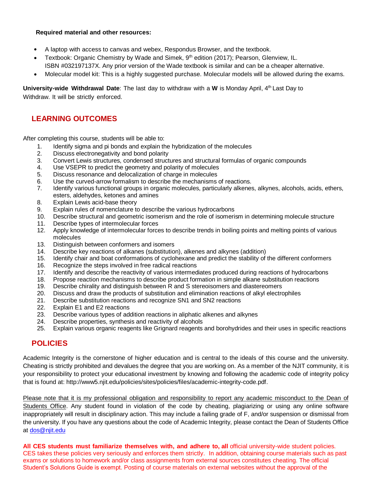#### **Required material and other resources:**

- A laptop with access to canvas and webex, Respondus Browser, and the textbook.
- Textbook: Organic Chemistry by Wade and Simek, 9th edition (2017); Pearson, Glenview, IL. ISBN #032197137X. Any prior version of the Wade textbook is similar and can be a cheaper alternative.
- Molecular model kit: This is a highly suggested purchase. Molecular models will be allowed during the exams.

**University-wide Withdrawal Date**: The last day to withdraw with a **W** is Monday April, 4 th Last Day to Withdraw. It will be strictly enforced.

### **LEARNING OUTCOMES**

After completing this course, students will be able to:

- 1. Identify sigma and pi bonds and explain the hybridization of the molecules
- 2. Discuss electronegativity and bond polarity<br>3. Convert Lewis structures, condensed struct
- 3. Convert Lewis structures, condensed structures and structural formulas of organic compounds
- 4. Use VSEPR to predict the geometry and polarity of molecules
- 5. Discuss resonance and delocalization of charge in molecules
- 6. Use the curved-arrow formalism to describe the mechanisms of reactions.
- 7. Identify various functional groups in organic molecules, particularly alkenes, alkynes, alcohols, acids, ethers, esters, aldehydes, ketones and amines
- 8. Explain Lewis acid-base theory
- 9. Explain rules of nomenclature to describe the various hydrocarbons
- 10. Describe structural and geometric isomerism and the role of isomerism in determining molecule structure
- 11. Describe types of intermolecular forces
- 12. Apply knowledge of intermolecular forces to describe trends in boiling points and melting points of various molecules
- 13. Distinguish between conformers and isomers
- 14. Describe key reactions of alkanes (substitution), alkenes and alkynes (addition)
- 15. Identify chair and boat conformations of cyclohexane and predict the stability of the different conformers
- 16. Recognize the steps involved in free radical reactions
- 17. Identify and describe the reactivity of various intermediates produced during reactions of hydrocarbons
- 18. Propose reaction mechanisms to describe product formation in simple alkane substitution reactions
- 19. Describe chirality and distinguish between R and S stereoisomers and diastereomers
- 20. Discuss and draw the products of substitution and elimination reactions of alkyl electrophiles
- 21. Describe substitution reactions and recognize SN1 and SN2 reactions
- 22. Explain E1 and E2 reactions
- 23. Describe various types of addition reactions in aliphatic alkenes and alkynes
- 24. Describe properties, synthesis and reactivity of alcohols
- 25. Explain various organic reagents like Grignard reagents and borohydrides and their uses in specific reactions

### **POLICIES**

Academic Integrity is the cornerstone of higher education and is central to the ideals of this course and the university. Cheating is strictly prohibited and devalues the degree that you are working on. As a member of the NJIT community, it is your responsibility to protect your educational investment by knowing and following the academic code of integrity policy that is found at: http://www5.njit.edu/policies/sites/policies/files/academic-integrity-code.pdf.

Please note that it is my professional obligation and responsibility to report any academic misconduct to the Dean of Students Office. Any student found in violation of the code by cheating, plagiarizing or using any online software inappropriately will result in disciplinary action. This may include a failing grade of F, and/or suspension or dismissal from the university. If you have any questions about the code of Academic Integrity, please contact the Dean of Students Office at [dos@njit.edu](mailto:dos@njit.edu)

**All CES students must familiarize themselves with, and adhere to, all** official university-wide student policies. CES takes these policies very seriously and enforces them strictly. In addition, obtaining course materials such as past exams or solutions to homework and/or class assignments from external sources constitutes cheating. The official Student's Solutions Guide is exempt. Posting of course materials on external websites without the approval of the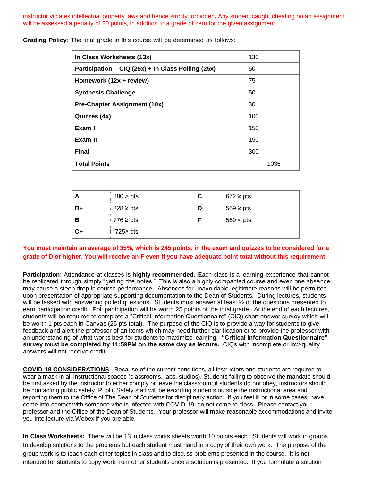instructor violates intellectual property laws and hence strictly forbidden**.** Any student caught cheating on an assignment will be assessed a penalty of 20 points, in addition to a grade of zero for the given assignment.

| In Class Worksheets (13x)                          | 130  |
|----------------------------------------------------|------|
| Participation – CIQ (25x) + In Class Polling (25x) | 50   |
| Homework (12x + review)                            | 75   |
| <b>Synthesis Challenge</b>                         | 50   |
| Pre-Chapter Assignment (10x)                       | 30   |
| Quizzes (4x)                                       | 100  |
| Exam I                                             | 150  |
| Exam II                                            | 150  |
| <b>Final</b>                                       | 300  |
| <b>Total Points</b>                                | 1035 |

**Grading Policy**: The final grade in this course will be determined as follows:

| A    | $880 > \text{pts}.$ | C. | $672 \geq \text{pts}.$ |
|------|---------------------|----|------------------------|
| B+   | $828 \geq pts$ .    | D  | $569 \geq pts$ .       |
| -В   | $776 \geq p$ ts.    |    | $569 <$ pts.           |
| $C+$ | 725 $\ge$ pts.      |    |                        |

### **You must maintain an average of 35%, which is 245 points, in the exam and quizzes to be considered for a grade of D or higher. You will receive an F even if you have adequate point total without this requirement.**

**Participation**: Attendance at classes is **highly recommended**. Each class is a learning experience that cannot be replicated through simply "getting the notes." This is also a highly compacted course and even one absence may cause a steep drop in course performance. Absences for unavoidable legitimate reasons will be permitted upon presentation of appropriate supporting documentation to the Dean of Students. During lectures, students will be tasked with answering polled questions. Students must answer at least  $\frac{1}{2}$  of the questions presented to earn participation credit. Poll participation will be worth 25 points of the total grade. At the end of each lectures, students will be required to complete a "Critical Information Questionnaire" (CIQ) short answer survey which will be worth 1 pts each in Canvas (25 pts total). The purpose of the CIQ is to provide a way for students to give feedback and alert the professor of an items which may need further clarification or to provide the professor with an understanding of what works best for students to maximize learning. **"Critical Information Questionnaire" survey must be completed by 11:59PM on the same day as lecture.** CIQs with incomplete or low-quality answers will not receive credit.

**COVID-19 CONSIDERATIONS**: Because of the current conditions, all instructors and students are required to wear a mask in all instructional spaces (classrooms, labs, studios). Students failing to observe the mandate should be first asked by the instructor to either comply or leave the classroom; if students do not obey, instructors should be contacting public safety. Public Safety staff will be escorting students outside the instructional area and reporting them to the Office of The Dean of Students for disciplinary action. If you feel ill or in some cases, have come into contact with someone who is infected with COVID-19, do not come to class. Please contact your professor and the Office of the Dean of Students. Your professor will make reasonable accommodations and invite you into lecture via Webex if you are able.

**In Class Worksheets:** There will be 13 in class works sheets worth 10 points each. Students will work in groups to develop solutions to the problems but each student must hand in a copy of their own work. The purpose of the group work is to teach each other topics in class and to discuss problems presented in the course. It is not intended for students to copy work from other students once a solution is presented. If you formulate a solution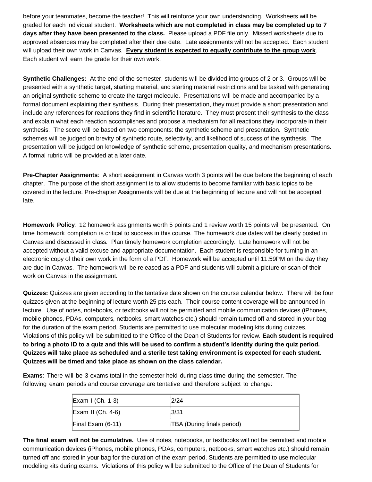before your teammates, become the teacher! This will reinforce your own understanding. Worksheets will be graded for each individual student. **Worksheets which are not completed in class may be completed up to 7 days after they have been presented to the class.** Please upload a PDF file only. Missed worksheets due to approved absences may be completed after their due date. Late assignments will not be accepted. Each student will upload their own work in Canvas. **Every student is expected to equally contribute to the group work**. Each student will earn the grade for their own work.

**Synthetic Challenges:** At the end of the semester, students will be divided into groups of 2 or 3. Groups will be presented with a synthetic target, starting material, and starting material restrictions and be tasked with generating an original synthetic scheme to create the target molecule. Presentations will be made and accompanied by a formal document explaining their synthesis. During their presentation, they must provide a short presentation and include any references for reactions they find in scientific literature. They must present their synthesis to the class and explain what each reaction accomplishes and propose a mechanism for all reactions they incorporate in their synthesis. The score will be based on two components: the synthetic scheme and presentation. Synthetic schemes will be judged on brevity of synthetic route, selectivity, and likelihood of success of the synthesis. The presentation will be judged on knowledge of synthetic scheme, presentation quality, and mechanism presentations. A formal rubric will be provided at a later date.

**Pre-Chapter Assignments**: A short assignment in Canvas worth 3 points will be due before the beginning of each chapter. The purpose of the short assignment is to allow students to become familiar with basic topics to be covered in the lecture. Pre-chapter Assignments will be due at the beginning of lecture and will not be accepted late.

**Homework Policy**: 12 homework assignments worth 5 points and 1 review worth 15 points will be presented. On time homework completion is critical to success in this course. The homework due dates will be clearly posted in Canvas and discussed in class. Plan timely homework completion accordingly. Late homework will not be accepted without a valid excuse and appropriate documentation. Each student is responsible for turning in an electronic copy of their own work in the form of a PDF. Homework will be accepted until 11:59PM on the day they are due in Canvas. The homework will be released as a PDF and students will submit a picture or scan of their work on Canvas in the assignment.

**Quizzes:** Quizzes are given according to the tentative date shown on the course calendar below. There will be four quizzes given at the beginning of lecture worth 25 pts each. Their course content coverage will be announced in lecture. Use of notes, notebooks, or textbooks will not be permitted and mobile communication devices (iPhones, mobile phones, PDAs, computers, netbooks, smart watches etc.) should remain turned off and stored in your bag for the duration of the exam period. Students are permitted to use molecular modeling kits during quizzes. Violations of this policy will be submitted to the Office of the Dean of Students for review. **Each student is required to bring a photo ID to a quiz and this will be used to confirm a student's identity during the quiz period. Quizzes will take place as scheduled and a sterile test taking environment is expected for each student. Quizzes will be timed and take place as shown on the class calendar.** 

**Exams**: There will be 3 exams total in the semester held during class time during the semester. The following exam periods and course coverage are tentative and therefore subject to change:

| <b>Exam I (Ch. 1-3)</b>      | 2/24                       |
|------------------------------|----------------------------|
| $\mathsf{Exam}$ II (Ch. 4-6) | 3/31                       |
| $\vert$ Final Exam (6-11)    | TBA (During finals period) |

**The final exam will not be cumulative.** Use of notes, notebooks, or textbooks will not be permitted and mobile communication devices (iPhones, mobile phones, PDAs, computers, netbooks, smart watches etc.) should remain turned off and stored in your bag for the duration of the exam period. Students are permitted to use molecular modeling kits during exams. Violations of this policy will be submitted to the Office of the Dean of Students for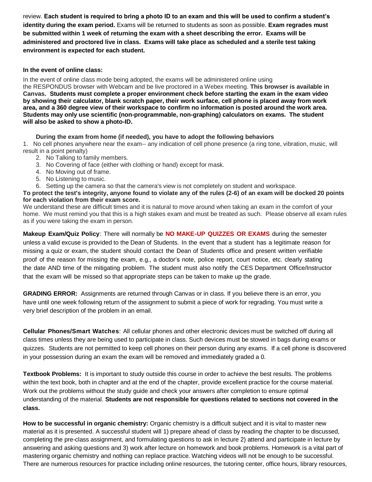review. **Each student is required to bring a photo ID to an exam and this will be used to confirm a student's identity during the exam period.** Exams will be returned to students as soon as possible. **Exam regrades must be submitted within 1 week of returning the exam with a sheet describing the error. Exams will be administered and proctored live in class. Exams will take place as scheduled and a sterile test taking environment is expected for each student.** 

#### **In the event of online class:**

In the event of online class mode being adopted, the exams will be administered online using the RESPONDUS browser with Webcam and be live proctored in a Webex meeting. **This browser is available in Canvas. Students must complete a proper environment check before starting the exam in the exam video by showing their calculator, blank scratch paper, their work surface, cell phone is placed away from work area, and a 360 degree view of their workspace to confirm no information is posted around the work area. Students may only use scientific (non-programmable, non-graphing) calculators on exams. The student will also be asked to show a photo-ID.**

### **During the exam from home (if needed), you have to adopt the following behaviors**

1. No cell phones anywhere near the exam-- any indication of cell phone presence (a ring tone, vibration, music, will result in a point penalty)

- 2. No Talking to family members.
- 3. No Covering of face (either with clothing or hand) except for mask.
- 4. No Moving out of frame.
- 5. No Listening to music.
- 6. Setting up the camera so that the camera's view is not completely on student and workspace.

**To protect the test's integrity, anyone found to violate any of the rules (2-6) of an exam will be docked 20 points for each violation from their exam score.** 

We understand these are difficult times and it is natural to move around when taking an exam in the comfort of your home. We must remind you that this is a high stakes exam and must be treated as such. Please observe all exam rules as if you were taking the exam in person.

**Makeup Exam/Quiz Policy**: There will normally be **NO MAKE-UP QUIZZES OR EXAMS** during the semester unless a valid excuse is provided to the Dean of Students. In the event that a student has a legitimate reason for missing a quiz or exam, the student should contact the Dean of Students office and present written verifiable proof of the reason for missing the exam, e.g., a doctor's note, police report, court notice, etc. clearly stating the date AND time of the mitigating problem. The student must also notify the CES Department Office/Instructor that the exam will be missed so that appropriate steps can be taken to make up the grade.

**GRADING ERROR:** Assignments are returned through Canvas or in class. If you believe there is an error, you have until one week following return of the assignment to submit a piece of work for regrading. You must write a very brief description of the problem in an email.

**Cellular Phones/Smart Watches**: All cellular phones and other electronic devices must be switched off during all class times unless they are being used to participate in class. Such devices must be stowed in bags during exams or quizzes. Students are not permitted to keep cell phones on their person during any exams. If a cell phone is discovered in your possession during an exam the exam will be removed and immediately graded a 0.

**Textbook Problems:** It is important to study outside this course in order to achieve the best results. The problems within the text book, both in chapter and at the end of the chapter, provide excellent practice for the course material. Work out the problems without the study guide and check your answers after completion to ensure optimal understanding of the material. **Students are not responsible for questions related to sections not covered in the class.**

**How to be successful in organic chemistry:** Organic chemistry is a difficult subject and it is vital to master new material as it is presented. A successful student will 1) prepare ahead of class by reading the chapter to be discussed, completing the pre-class assignment, and formulating questions to ask in lecture 2) attend and participate in lecture by answering and asking questions and 3) work after lecture on homework and book problems. Homework is a vital part of mastering organic chemistry and nothing can replace practice. Watching videos will not be enough to be successful. There are numerous resources for practice including online resources, the tutoring center, office hours, library resources,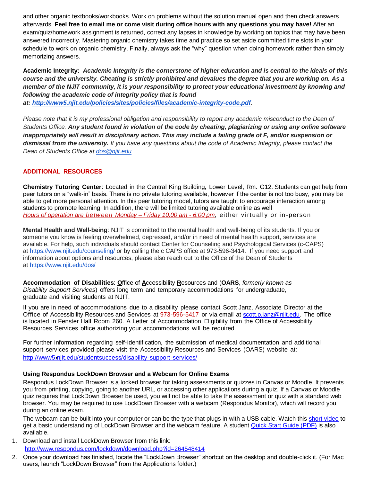and other organic textbooks/workbooks. Work on problems without the solution manual open and then check answers afterwards. **Feel free to email me or come visit during office hours with any questions you may have!** After an exam/quiz/homework assignment is returned, correct any lapses in knowledge by working on topics that may have been answered incorrectly. Mastering organic chemistry takes time and practice so set aside committed time slots in your schedule to work on organic chemistry. Finally, always ask the "why" question when doing homework rather than simply memorizing answers.

**Academic Integrity:** *Academic Integrity is the cornerstone of higher education and is central to the ideals of this course and the university. Cheating is strictly prohibited and devalues the degree that you are working on. As a member of the NJIT community, it is your responsibility to protect your educational investment by knowing and following the academic code of integrity policy that is found at: [http://www5.njit.edu/policies/sites/policies/files/academic-integrity-code.pdf.](http://www5.njit.edu/policies/sites/policies/files/academic-integrity-code.pdf)* 

Please note that it is my professional obligation and responsibility to report any academic misconduct to the Dean of *Students Office. Any student found in violation of the code by cheating, plagiarizing or using any online software inappropriately will result in disciplinary action. This may include a failing grade of F, and/or suspension or dismissal from the university. If you have any questions about the code of Academic Integrity, please contact the Dean of Students Office at [dos@njit.edu](mailto:dos@njit.edu)*

### **ADDITIONAL RESOURCES**

**Chemistry Tutoring Center**: Located in the Central King Building, Lower Level, Rm. G12. Students can get help from peer tutors on a "walk-in" basis. There is no private tutoring available, however if the center is not too busy, you may be able to get more personal attention. In this peer tutoring model, tutors are taught to encourage interaction among students to promote learning. In addition, there will be limited tutoring available online as well *Hours of operation are between Monday – Friday 10:00 am - 6:00 pm, either virtually or in-person* 

**Mental Health and Well-being**: NJIT is committed to the mental health and well-being of its students. If you or someone you know is feeling overwhelmed, depressed, and/or in need of mental health support, services are available. For help, such individuals should contact Center for Counseling and Psychological Services (c-CAPS) at <https://www.njit.edu/counseling/> or by calling the c CAPS office at 973-596-3414. If you need support and information about options and resources, please also reach out to the Office of the Dean of Students at <https://www.njit.edu/dos/>

**Accommodation of Disabilities**: **O**ffice of **A**ccessibility **R**esources and (**OARS**, *formerly known as Disability Support Services*) offers long term and temporary accommodations for undergraduate, graduate and visiting students at NJIT.

If you are in need of accommodations due to a disability please contact Scott Janz, Associate Director at the Office of Accessibility Resources and Services at 973-596-5417 or via email at [scott.p.janz@njit.edu.](mailto:scott.p.janz@njit.edu) The office is located in Fenster Hall Room 260. A Letter of Accommodation Eligibility from the Office of Accessibility Resources Services office authorizing your accommodations will be required.

For further information regarding self-identification, the submission of medical documentation and additional support services provided please visit the Accessibility Resources and Services (OARS) website at: [http://www5.njit.edu/studentsuccess/disability-support-services/](http://www.njit.edu/studentsuccess/accessibility/)

### **Using Respondus LockDown Browser and a Webcam for Online Exams**

Respondus LockDown Browser is a locked browser for taking assessments or quizzes in Canvas or Moodle. It prevents you from printing, copying, going to another URL, or accessing other applications during a quiz. If a Canvas or Moodle quiz requires that LockDown Browser be used, you will not be able to take the assessment or quiz with a standard web browser. You may be required to use LockDown Browser with a webcam (Respondus Monitor), which will record you during an online exam.

The webcam can be built into your computer or can be the type that plugs in with a USB cable. Watch this [short video](http://www.respondus.com/products/lockdown-browser/student-movie.shtml) to get a basic understanding of LockDown Browser and the webcam feature. A student **Quick Start Guide (PDF)** is also available.

1. Download and install LockDown Browser from this link: <http://www.respondus.com/lockdown/download.php?id=264548414>

2. Once your download has finished, locate the "LockDown Browser" shortcut on the desktop and double-click it. (For Mac users, launch "LockDown Browser" from the Applications folder.)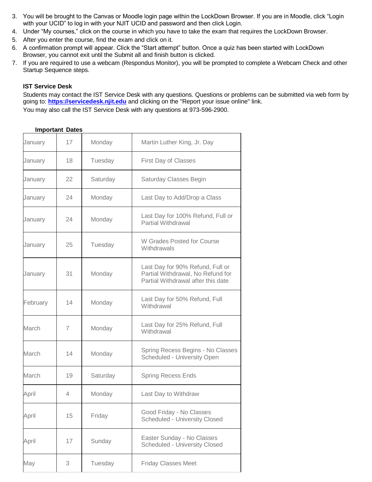- 3. You will be brought to the Canvas or Moodle login page within the LockDown Browser. If you are in Moodle, click "Login with your UCID" to log in with your NJIT UCID and password and then click Login.
- 4. Under "My courses," click on the course in which you have to take the exam that requires the LockDown Browser.
- 5. After you enter the course, find the exam and click on it.
- 6. A confirmation prompt will appear. Click the "Start attempt" button. Once a quiz has been started with LockDown Browser, you cannot exit until the Submit all and finish button is clicked.
- 7. If you are required to use a webcam (Respondus Monitor), you will be prompted to complete a Webcam Check and other Startup Sequence steps.

#### **IST Service Desk**

Students may contact the IST Service Desk with any questions. Questions or problems can be submitted via web form by going to: **[https://servicedesk.njit.edu](https://servicedesk.njit.edu/)** and clicking on the "Report your issue online" link. You may also call the IST Service Desk with any questions at 973-596-2900.

| January  | 17             | Monday   | Martin Luther King, Jr. Day                                                                                 |
|----------|----------------|----------|-------------------------------------------------------------------------------------------------------------|
| January  | 18             | Tuesday  | First Day of Classes                                                                                        |
| January  | 22             | Saturday | Saturday Classes Begin                                                                                      |
| January  | 24             | Monday   | Last Day to Add/Drop a Class                                                                                |
| January  | 24             | Monday   | Last Day for 100% Refund, Full or<br><b>Partial Withdrawal</b>                                              |
| January  | 25             | Tuesday  | W Grades Posted for Course<br>Withdrawals                                                                   |
| January  | 31             | Monday   | Last Day for 90% Refund, Full or<br>Partial Withdrawal, No Refund for<br>Partial Withdrawal after this date |
| February | 14             | Monday   | Last Day for 50% Refund, Full<br>Withdrawal                                                                 |
| March    | $\overline{7}$ | Monday   | Last Day for 25% Refund, Full<br>Withdrawal                                                                 |
| March    | 14             | Monday   | Spring Recess Begins - No Classes<br>Scheduled - University Open                                            |
| March    | 19             | Saturday | <b>Spring Recess Ends</b>                                                                                   |
| April    | 4              | Monday   | Last Day to Withdraw                                                                                        |
| April    | 15             | Friday   | Good Friday - No Classes<br>Scheduled - University Closed                                                   |
| April    | 17             | Sunday   | Easter Sunday - No Classes<br><b>Scheduled - University Closed</b>                                          |
| May      | 3              | Tuesday  | <b>Friday Classes Meet</b>                                                                                  |

### **Important Dates**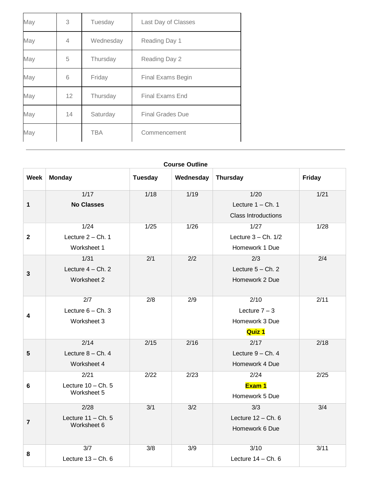| May | 3  | Tuesday    | Last Day of Classes     |
|-----|----|------------|-------------------------|
| May | 4  | Wednesday  | Reading Day 1           |
| May | 5  | Thursday   | Reading Day 2           |
| May | 6  | Friday     | Final Exams Begin       |
| May | 12 | Thursday   | <b>Final Exams End</b>  |
| May | 14 | Saturday   | <b>Final Grades Due</b> |
| May |    | <b>TBA</b> | Commencement            |

| <b>Course Outline</b> |                      |                |           |                            |        |
|-----------------------|----------------------|----------------|-----------|----------------------------|--------|
| <b>Week</b>           | <b>Monday</b>        | <b>Tuesday</b> | Wednesday | <b>Thursday</b>            | Friday |
|                       | $1/17$               | 1/18           | 1/19      | 1/20                       | 1/21   |
| 1                     | <b>No Classes</b>    |                |           | Lecture $1 - Ch. 1$        |        |
|                       |                      |                |           | <b>Class Introductions</b> |        |
|                       | 1/24                 | 1/25           | 1/26      | 1/27                       | 1/28   |
| $\mathbf 2$           | Lecture 2 - Ch. 1    |                |           | Lecture $3 - Ch. 1/2$      |        |
|                       | Worksheet 1          |                |           | Homework 1 Due             |        |
|                       | 1/31                 | 2/1            | 2/2       | 2/3                        | 2/4    |
| $\mathbf 3$           | Lecture $4 - Ch. 2$  |                |           | Lecture $5 - Ch. 2$        |        |
|                       | Worksheet 2          |                |           | Homework 2 Due             |        |
|                       |                      |                |           |                            |        |
|                       | 2/7                  | 2/8            | 2/9       | 2/10                       | 2/11   |
| 4                     | Lecture $6 - Ch.3$   |                |           | Lecture $7 - 3$            |        |
|                       | Worksheet 3          |                |           | Homework 3 Due             |        |
|                       |                      |                |           | <b>Quiz 1</b>              |        |
|                       | 2/14                 | 2/15           | 2/16      | 2/17                       | 2/18   |
| 5                     | Lecture $8 - Ch.4$   |                |           | Lecture $9 - Ch. 4$        |        |
|                       | Worksheet 4          |                |           | Homework 4 Due             |        |
|                       | 2/21                 | 2/22           | 2/23      | 2/24                       | 2/25   |
| 6                     | Lecture $10 - Ch. 5$ |                |           | Exam 1                     |        |
|                       | Worksheet 5          |                |           | Homework 5 Due             |        |
|                       | 2/28                 | 3/1            | 3/2       | 3/3                        | 3/4    |
| $\overline{7}$        | Lecture $11 - Ch. 5$ |                |           | Lecture $12 - Ch. 6$       |        |
|                       | Worksheet 6          |                |           | Homework 6 Due             |        |
|                       |                      |                |           |                            |        |
| 8                     | 3/7                  | 3/8            | 3/9       | 3/10                       | 3/11   |
|                       | Lecture 13 - Ch. 6   |                |           | Lecture $14 - Ch. 6$       |        |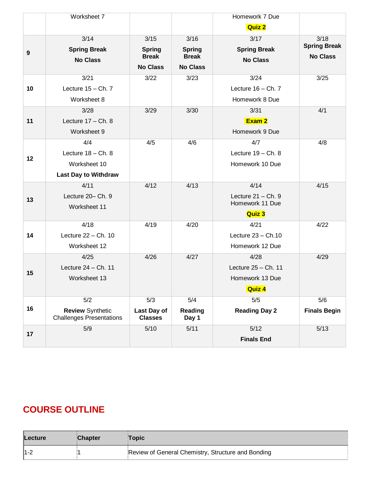|                  | Worksheet 7                                                |                                 |                                 | Homework 7 Due        |                     |
|------------------|------------------------------------------------------------|---------------------------------|---------------------------------|-----------------------|---------------------|
|                  |                                                            |                                 |                                 | <b>Quiz 2</b>         |                     |
|                  | 3/14                                                       | 3/15                            | 3/16                            | 3/17                  | 3/18                |
| $\boldsymbol{9}$ | <b>Spring Break</b>                                        | <b>Spring</b>                   | <b>Spring</b>                   | <b>Spring Break</b>   | <b>Spring Break</b> |
|                  | <b>No Class</b>                                            | <b>Break</b><br><b>No Class</b> | <b>Break</b><br><b>No Class</b> | <b>No Class</b>       | <b>No Class</b>     |
|                  |                                                            |                                 |                                 |                       |                     |
|                  | 3/21                                                       | 3/22                            | 3/23                            | 3/24                  | 3/25                |
| 10               | Lecture $15 - Ch. 7$                                       |                                 |                                 | Lecture $16 - Ch. 7$  |                     |
|                  | Worksheet 8                                                |                                 |                                 | Homework 8 Due        |                     |
|                  | 3/28                                                       | 3/29                            | 3/30                            | 3/31                  | 4/1                 |
| 11               | Lecture $17 - Ch. 8$                                       |                                 |                                 | Exam 2                |                     |
|                  | Worksheet 9                                                |                                 |                                 | Homework 9 Due        |                     |
|                  | 4/4                                                        | 4/5                             | 4/6                             | 4/7                   | 4/8                 |
| 12               | Lecture $18 - Ch. 8$                                       |                                 |                                 | Lecture $19 - Ch. 8$  |                     |
|                  | Worksheet 10                                               |                                 |                                 | Homework 10 Due       |                     |
|                  | <b>Last Day to Withdraw</b>                                |                                 |                                 |                       |                     |
|                  | 4/11                                                       | 4/12                            | 4/13                            | 4/14                  | 4/15                |
| 13               | Lecture 20- Ch. 9                                          |                                 |                                 | Lecture $21 - Ch.9$   |                     |
|                  | Worksheet 11                                               |                                 |                                 | Homework 11 Due       |                     |
|                  |                                                            |                                 |                                 | <b>Quiz 3</b>         |                     |
|                  | 4/18                                                       | 4/19                            | 4/20                            | 4/21                  | 4/22                |
| 14               | Lecture 22 - Ch. 10                                        |                                 |                                 | Lecture $23 - Ch.10$  |                     |
|                  | Worksheet 12                                               |                                 |                                 | Homework 12 Due       |                     |
|                  | 4/25                                                       | 4/26                            | 4/27                            | 4/28                  | 4/29                |
| 15               | Lecture $24 - Ch. 11$                                      |                                 |                                 | Lecture $25 - Ch. 11$ |                     |
|                  | Worksheet 13                                               |                                 |                                 | Homework 13 Due       |                     |
|                  |                                                            |                                 |                                 | Quiz 4                |                     |
|                  | 5/2                                                        | 5/3                             | 5/4                             | $5/5$                 | 5/6                 |
| 16               | <b>Review Synthetic</b><br><b>Challenges Presentations</b> | Last Day of<br><b>Classes</b>   | Reading<br>Day 1                | <b>Reading Day 2</b>  | <b>Finals Begin</b> |
| 17               | 5/9                                                        | 5/10                            | 5/11                            | 5/12                  | 5/13                |
|                  |                                                            |                                 |                                 | <b>Finals End</b>     |                     |

# **COURSE OUTLINE**

| Lecture | <b>Chapter</b> | Topic∖                                             |
|---------|----------------|----------------------------------------------------|
| $ 1-2 $ |                | Review of General Chemistry, Structure and Bonding |